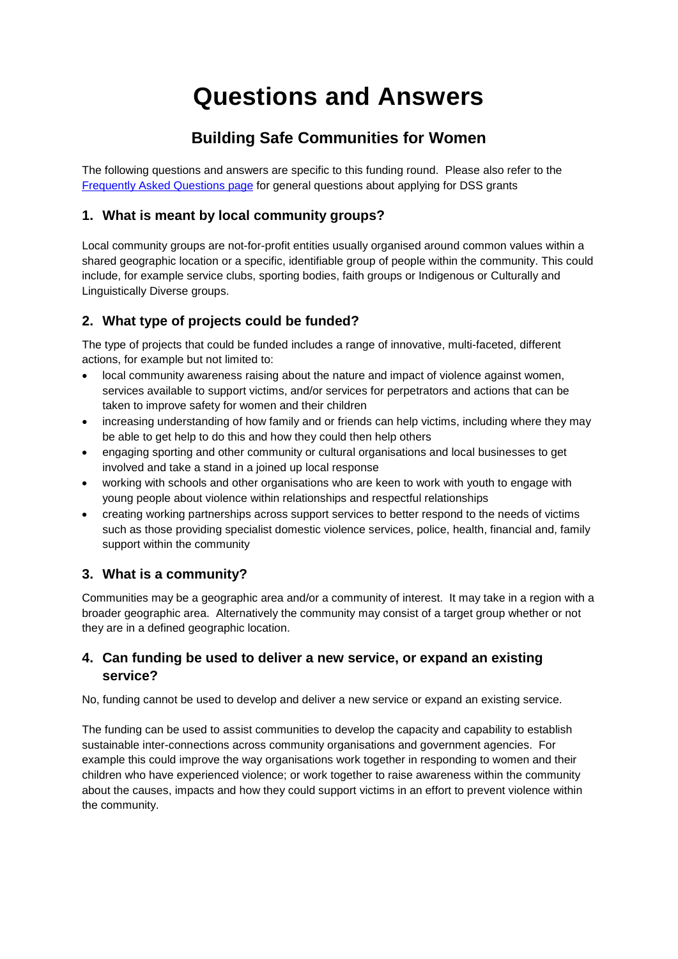# **Questions and Answers**

## **Building Safe Communities for Women**

The following questions and answers are specific to this funding round. Please also refer to the [Frequently Asked Questions](http://www.dss.gov.au/grants/frequently-asked-questions) page for general questions about applying for DSS grants

## **1. What is meant by local community groups?**

Local community groups are not-for-profit entities usually organised around common values within a shared geographic location or a specific, identifiable group of people within the community. This could include, for example service clubs, sporting bodies, faith groups or Indigenous or Culturally and Linguistically Diverse groups.

## **2. What type of projects could be funded?**

The type of projects that could be funded includes a range of innovative, multi-faceted, different actions, for example but not limited to:

- local community awareness raising about the nature and impact of violence against women, services available to support victims, and/or services for perpetrators and actions that can be taken to improve safety for women and their children
- increasing understanding of how family and or friends can help victims, including where they may be able to get help to do this and how they could then help others
- engaging sporting and other community or cultural organisations and local businesses to get involved and take a stand in a joined up local response
- working with schools and other organisations who are keen to work with youth to engage with young people about violence within relationships and respectful relationships
- creating working partnerships across support services to better respond to the needs of victims such as those providing specialist domestic violence services, police, health, financial and, family support within the community

## **3. What is a community?**

Communities may be a geographic area and/or a community of interest. It may take in a region with a broader geographic area. Alternatively the community may consist of a target group whether or not they are in a defined geographic location.

## **4. Can funding be used to deliver a new service, or expand an existing service?**

No, funding cannot be used to develop and deliver a new service or expand an existing service.

The funding can be used to assist communities to develop the capacity and capability to establish sustainable inter-connections across community organisations and government agencies. For example this could improve the way organisations work together in responding to women and their children who have experienced violence; or work together to raise awareness within the community about the causes, impacts and how they could support victims in an effort to prevent violence within the community.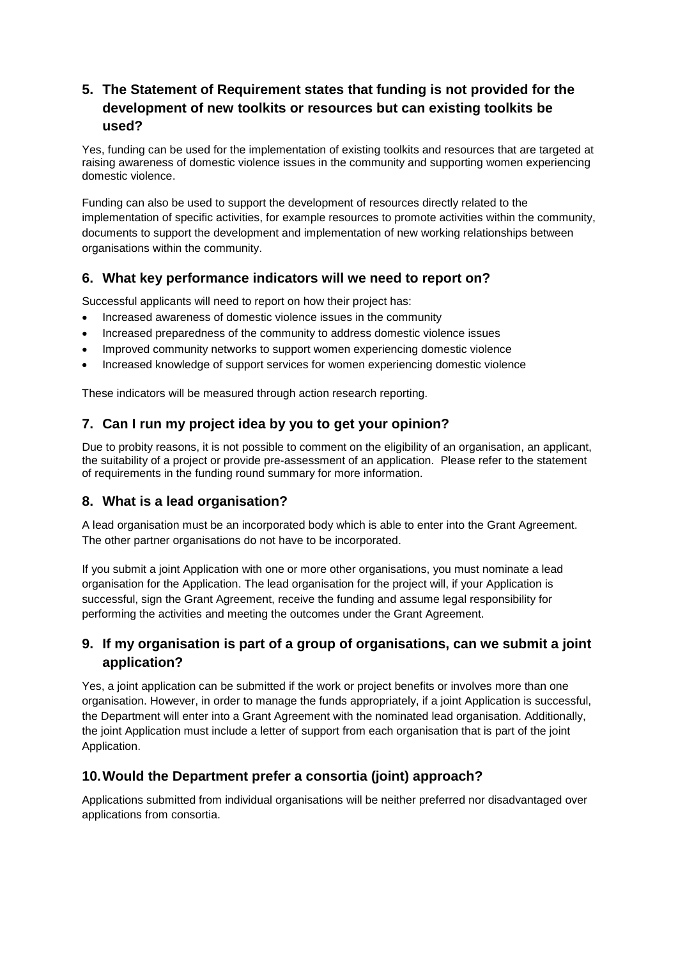## **5. The Statement of Requirement states that funding is not provided for the development of new toolkits or resources but can existing toolkits be used?**

Yes, funding can be used for the implementation of existing toolkits and resources that are targeted at raising awareness of domestic violence issues in the community and supporting women experiencing domestic violence.

Funding can also be used to support the development of resources directly related to the implementation of specific activities, for example resources to promote activities within the community, documents to support the development and implementation of new working relationships between organisations within the community.

## **6. What key performance indicators will we need to report on?**

Successful applicants will need to report on how their project has:

- Increased awareness of domestic violence issues in the community
- Increased preparedness of the community to address domestic violence issues
- Improved community networks to support women experiencing domestic violence
- Increased knowledge of support services for women experiencing domestic violence

These indicators will be measured through action research reporting.

#### **7. Can I run my project idea by you to get your opinion?**

Due to probity reasons, it is not possible to comment on the eligibility of an organisation, an applicant, the suitability of a project or provide pre-assessment of an application. Please refer to the statement of requirements in the funding round summary for more information.

#### **8. What is a lead organisation?**

A lead organisation must be an incorporated body which is able to enter into the Grant Agreement. The other partner organisations do not have to be incorporated.

If you submit a joint Application with one or more other organisations, you must nominate a lead organisation for the Application. The lead organisation for the project will, if your Application is successful, sign the Grant Agreement, receive the funding and assume legal responsibility for performing the activities and meeting the outcomes under the Grant Agreement.

## **9. If my organisation is part of a group of organisations, can we submit a joint application?**

Yes, a joint application can be submitted if the work or project benefits or involves more than one organisation. However, in order to manage the funds appropriately, if a joint Application is successful, the Department will enter into a Grant Agreement with the nominated lead organisation. Additionally, the joint Application must include a letter of support from each organisation that is part of the joint Application.

#### **10.Would the Department prefer a consortia (joint) approach?**

Applications submitted from individual organisations will be neither preferred nor disadvantaged over applications from consortia.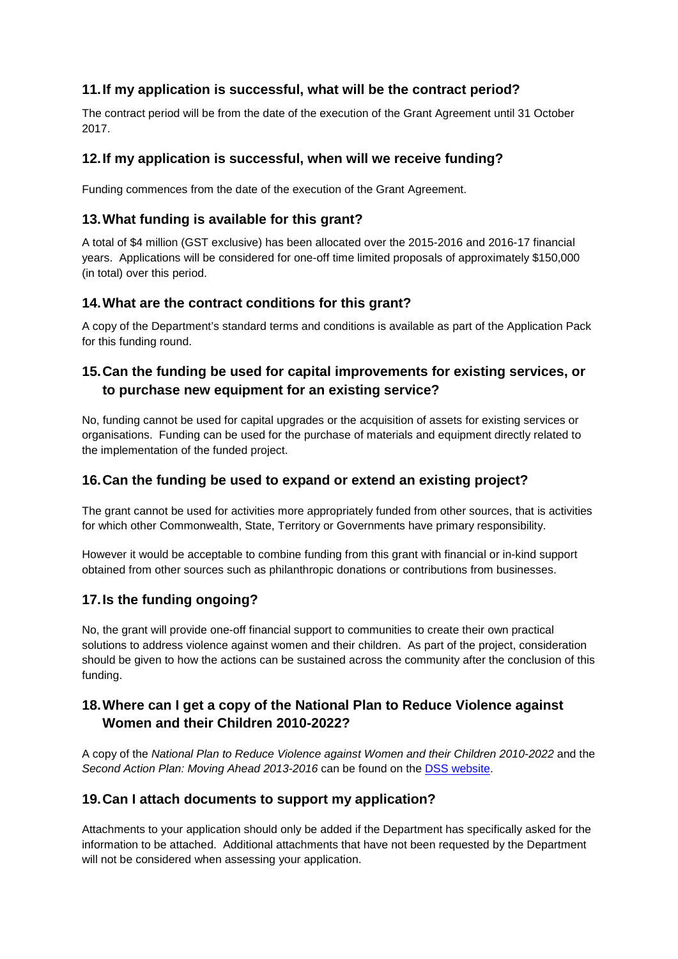## **11.If my application is successful, what will be the contract period?**

The contract period will be from the date of the execution of the Grant Agreement until 31 October 2017.

#### **12.If my application is successful, when will we receive funding?**

Funding commences from the date of the execution of the Grant Agreement.

#### **13.What funding is available for this grant?**

A total of \$4 million (GST exclusive) has been allocated over the 2015-2016 and 2016-17 financial years. Applications will be considered for one-off time limited proposals of approximately \$150,000 (in total) over this period.

#### **14.What are the contract conditions for this grant?**

A copy of the Department's standard terms and conditions is available as part of the Application Pack for this funding round.

## **15.Can the funding be used for capital improvements for existing services, or to purchase new equipment for an existing service?**

No, funding cannot be used for capital upgrades or the acquisition of assets for existing services or organisations. Funding can be used for the purchase of materials and equipment directly related to the implementation of the funded project.

#### **16.Can the funding be used to expand or extend an existing project?**

The grant cannot be used for activities more appropriately funded from other sources, that is activities for which other Commonwealth, State, Territory or Governments have primary responsibility.

However it would be acceptable to combine funding from this grant with financial or in-kind support obtained from other sources such as philanthropic donations or contributions from businesses.

#### **17.Is the funding ongoing?**

No, the grant will provide one-off financial support to communities to create their own practical solutions to address violence against women and their children. As part of the project, consideration should be given to how the actions can be sustained across the community after the conclusion of this funding.

#### **18.Where can I get a copy of the National Plan to Reduce Violence against Women and their Children 2010-2022?**

A copy of the *National Plan to Reduce Violence against Women and their Children 2010-2022* and the *Second Action Plan: Moving Ahead 2013-2016* can be found on the [DSS website.](http://plan4womenssafety.dss.gov.au/)

#### **19.Can I attach documents to support my application?**

Attachments to your application should only be added if the Department has specifically asked for the information to be attached. Additional attachments that have not been requested by the Department will not be considered when assessing your application.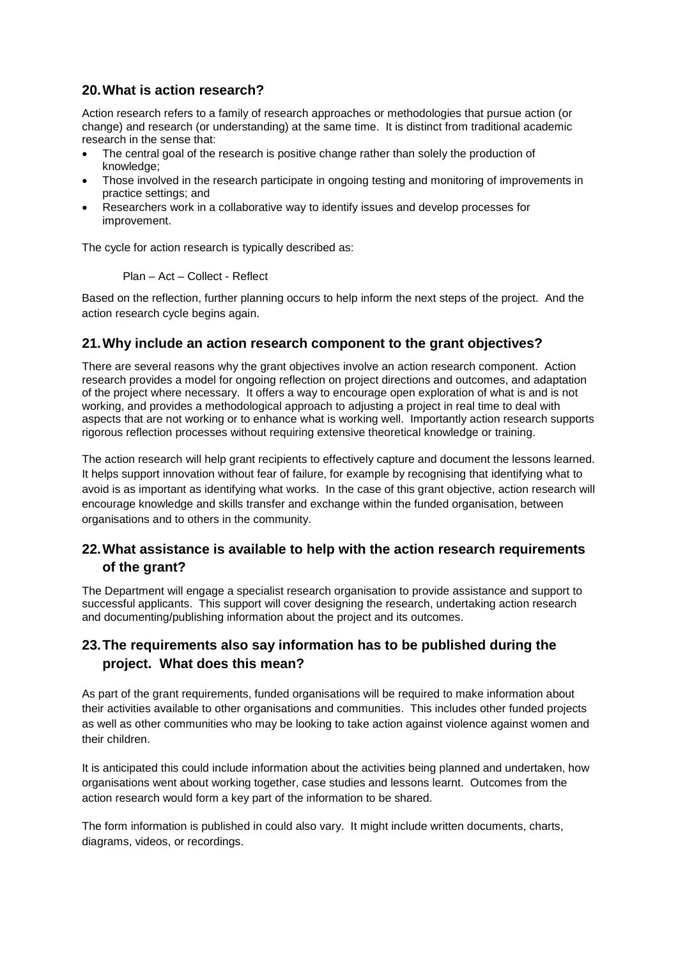#### **20.What is action research?**

Action research refers to a family of research approaches or methodologies that pursue action (or change) and research (or understanding) at the same time. It is distinct from traditional academic research in the sense that:

- The central goal of the research is positive change rather than solely the production of knowledge;
- Those involved in the research participate in ongoing testing and monitoring of improvements in practice settings; and
- Researchers work in a collaborative way to identify issues and develop processes for improvement.

The cycle for action research is typically described as:

Plan – Act – Collect - Reflect

Based on the reflection, further planning occurs to help inform the next steps of the project. And the action research cycle begins again.

#### **21.Why include an action research component to the grant objectives?**

There are several reasons why the grant objectives involve an action research component. Action research provides a model for ongoing reflection on project directions and outcomes, and adaptation of the project where necessary. It offers a way to encourage open exploration of what is and is not working, and provides a methodological approach to adjusting a project in real time to deal with aspects that are not working or to enhance what is working well. Importantly action research supports rigorous reflection processes without requiring extensive theoretical knowledge or training.

The action research will help grant recipients to effectively capture and document the lessons learned. It helps support innovation without fear of failure, for example by recognising that identifying what to avoid is as important as identifying what works. In the case of this grant objective, action research will encourage knowledge and skills transfer and exchange within the funded organisation, between organisations and to others in the community.

#### **22.What assistance is available to help with the action research requirements of the grant?**

The Department will engage a specialist research organisation to provide assistance and support to successful applicants. This support will cover designing the research, undertaking action research and documenting/publishing information about the project and its outcomes.

## **23.The requirements also say information has to be published during the project. What does this mean?**

As part of the grant requirements, funded organisations will be required to make information about their activities available to other organisations and communities. This includes other funded projects as well as other communities who may be looking to take action against violence against women and their children.

It is anticipated this could include information about the activities being planned and undertaken, how organisations went about working together, case studies and lessons learnt. Outcomes from the action research would form a key part of the information to be shared.

The form information is published in could also vary. It might include written documents, charts, diagrams, videos, or recordings.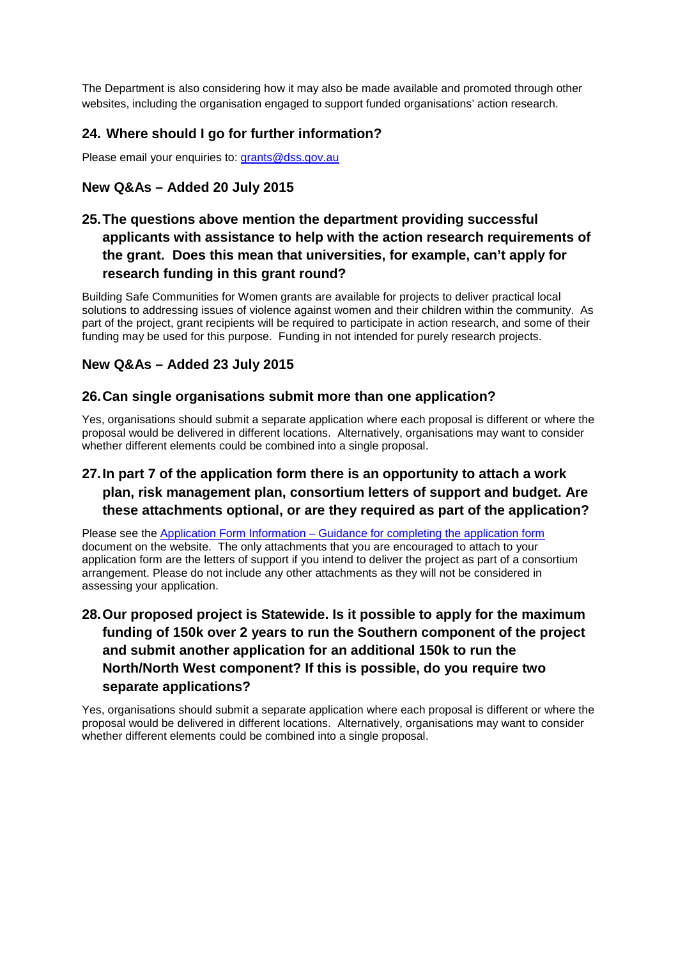The Department is also considering how it may also be made available and promoted through other websites, including the organisation engaged to support funded organisations' action research.

## **24. Where should I go for further information?**

Please email your enquiries to: [grants@dss.gov.au](mailto:grants@dss.gov.au)

## **New Q&As – Added 20 July 2015**

## **25.The questions above mention the department providing successful applicants with assistance to help with the action research requirements of the grant. Does this mean that universities, for example, can't apply for research funding in this grant round?**

Building Safe Communities for Women grants are available for projects to deliver practical local solutions to addressing issues of violence against women and their children within the community. As part of the project, grant recipients will be required to participate in action research, and some of their funding may be used for this purpose. Funding in not intended for purely research projects.

#### **New Q&As – Added 23 July 2015**

#### **26.Can single organisations submit more than one application?**

Yes, organisations should submit a separate application where each proposal is different or where the proposal would be delivered in different locations. Alternatively, organisations may want to consider whether different elements could be combined into a single proposal.

## **27.In part 7 of the application form there is an opportunity to attach a work plan, risk management plan, consortium letters of support and budget. Are these attachments optional, or are they required as part of the application?**

Please see the Application Form Information – [Guidance for completing the application form](https://www.dss.gov.au/grants/building-safe-communities-for-women) document on the website. The only attachments that you are encouraged to attach to your application form are the letters of support if you intend to deliver the project as part of a consortium arrangement. Please do not include any other attachments as they will not be considered in assessing your application.

## **28.Our proposed project is Statewide. Is it possible to apply for the maximum funding of 150k over 2 years to run the Southern component of the project and submit another application for an additional 150k to run the North/North West component? If this is possible, do you require two separate applications?**

Yes, organisations should submit a separate application where each proposal is different or where the proposal would be delivered in different locations. Alternatively, organisations may want to consider whether different elements could be combined into a single proposal.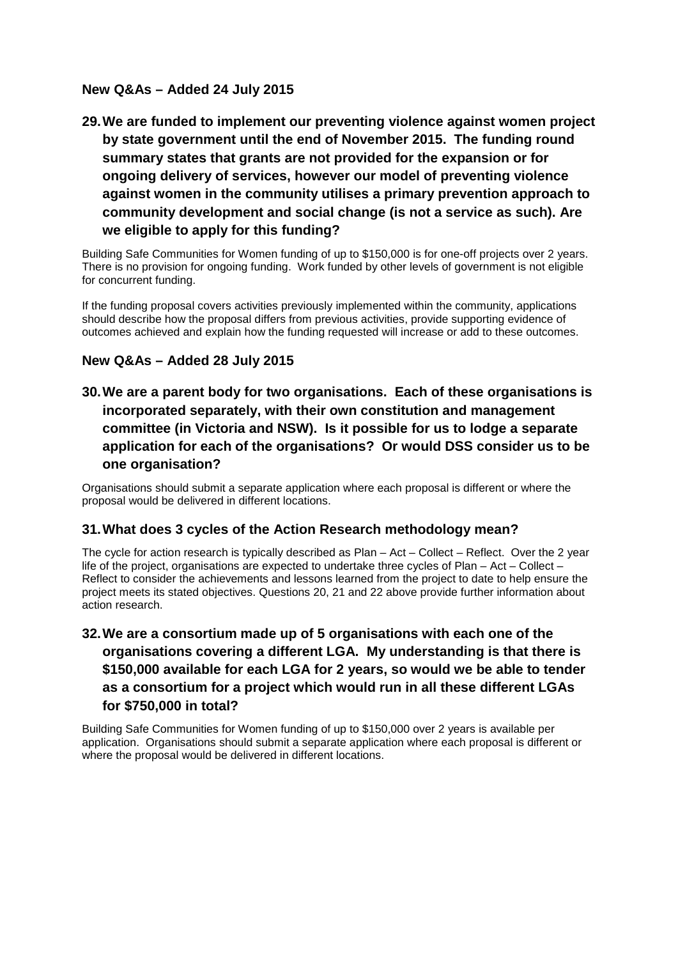## **New Q&As – Added 24 July 2015**

**29.We are funded to implement our preventing violence against women project by state government until the end of November 2015. The funding round summary states that grants are not provided for the expansion or for ongoing delivery of services, however our model of preventing violence against women in the community utilises a primary prevention approach to community development and social change (is not a service as such). Are we eligible to apply for this funding?**

Building Safe Communities for Women funding of up to \$150,000 is for one-off projects over 2 years. There is no provision for ongoing funding. Work funded by other levels of government is not eligible for concurrent funding.

If the funding proposal covers activities previously implemented within the community, applications should describe how the proposal differs from previous activities, provide supporting evidence of outcomes achieved and explain how the funding requested will increase or add to these outcomes.

## **New Q&As – Added 28 July 2015**

**30.We are a parent body for two organisations. Each of these organisations is incorporated separately, with their own constitution and management committee (in Victoria and NSW). Is it possible for us to lodge a separate application for each of the organisations? Or would DSS consider us to be one organisation?**

Organisations should submit a separate application where each proposal is different or where the proposal would be delivered in different locations.

#### **31.What does 3 cycles of the Action Research methodology mean?**

The cycle for action research is typically described as Plan – Act – Collect – Reflect. Over the 2 year life of the project, organisations are expected to undertake three cycles of Plan – Act – Collect – Reflect to consider the achievements and lessons learned from the project to date to help ensure the project meets its stated objectives. Questions 20, 21 and 22 above provide further information about action research.

## **32.We are a consortium made up of 5 organisations with each one of the organisations covering a different LGA. My understanding is that there is \$150,000 available for each LGA for 2 years, so would we be able to tender as a consortium for a project which would run in all these different LGAs for \$750,000 in total?**

Building Safe Communities for Women funding of up to \$150,000 over 2 years is available per application. Organisations should submit a separate application where each proposal is different or where the proposal would be delivered in different locations.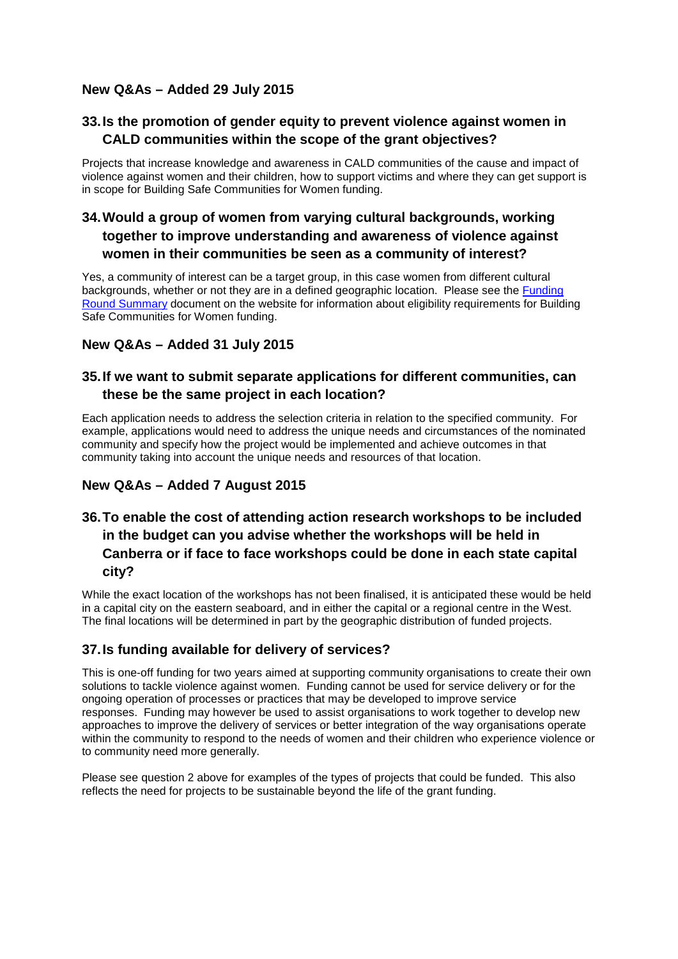## **New Q&As – Added 29 July 2015**

## **33.Is the promotion of gender equity to prevent violence against women in CALD communities within the scope of the grant objectives?**

Projects that increase knowledge and awareness in CALD communities of the cause and impact of violence against women and their children, how to support victims and where they can get support is in scope for Building Safe Communities for Women funding.

## **34.Would a group of women from varying cultural backgrounds, working together to improve understanding and awareness of violence against women in their communities be seen as a community of interest?**

Yes, a community of interest can be a target group, in this case women from different cultural backgrounds, whether or not they are in a defined geographic location. Please see the [Funding](https://www.dss.gov.au/grants/building-safe-communities-for-women)  [Round Summary](https://www.dss.gov.au/grants/building-safe-communities-for-women) document on the website for information about eligibility requirements for Building Safe Communities for Women funding.

## **New Q&As – Added 31 July 2015**

## **35.If we want to submit separate applications for different communities, can these be the same project in each location?**

Each application needs to address the selection criteria in relation to the specified community. For example, applications would need to address the unique needs and circumstances of the nominated community and specify how the project would be implemented and achieve outcomes in that community taking into account the unique needs and resources of that location.

## **New Q&As – Added 7 August 2015**

## **36.To enable the cost of attending action research workshops to be included in the budget can you advise whether the workshops will be held in Canberra or if face to face workshops could be done in each state capital city?**

While the exact location of the workshops has not been finalised, it is anticipated these would be held in a capital city on the eastern seaboard, and in either the capital or a regional centre in the West. The final locations will be determined in part by the geographic distribution of funded projects.

#### **37.Is funding available for delivery of services?**

This is one-off funding for two years aimed at supporting community organisations to create their own solutions to tackle violence against women. Funding cannot be used for service delivery or for the ongoing operation of processes or practices that may be developed to improve service responses. Funding may however be used to assist organisations to work together to develop new approaches to improve the delivery of services or better integration of the way organisations operate within the community to respond to the needs of women and their children who experience violence or to community need more generally.

Please see question 2 above for examples of the types of projects that could be funded. This also reflects the need for projects to be sustainable beyond the life of the grant funding.